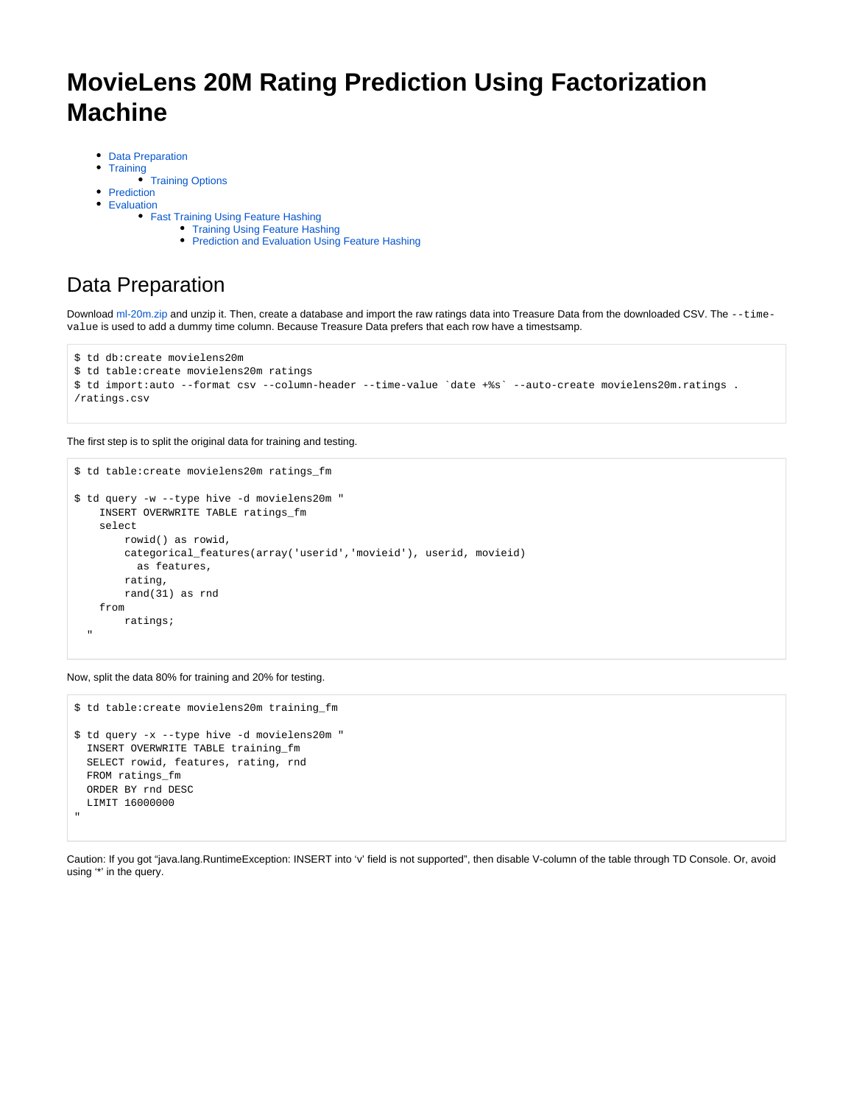# **MovieLens 20M Rating Prediction Using Factorization Machine**

- [Data Preparation](#page-0-0)
- [Training](#page-1-0)
- [Training Options](#page-1-1)
- [Prediction](#page-3-0) [Evaluation](#page-3-1)
	- [Fast Training Using Feature Hashing](#page-3-2)
		- [Training Using Feature Hashing](#page-3-3)
		- [Prediction and Evaluation Using Feature Hashing](#page-4-0)

# <span id="page-0-0"></span>Data Preparation

Download [ml-20m.zip](http://grouplens.org/datasets/movielens/) and unzip it. Then, create a database and import the raw ratings data into Treasure Data from the downloaded CSV. The --timevalue is used to add a dummy time column. Because Treasure Data prefers that each row have a timestsamp.

```
$ td db:create movielens20m
$ td table:create movielens20m ratings
$ td import:auto --format csv --column-header --time-value `date +%s` --auto-create movielens20m.ratings .
/ratings.csv
```
The first step is to split the original data for training and testing.

```
$ td table:create movielens20m ratings_fm
$ td query -w --type hive -d movielens20m "
    INSERT OVERWRITE TABLE ratings_fm 
    select
        rowid() as rowid,
        categorical_features(array('userid','movieid'), userid, movieid) 
          as features,
        rating,
        rand(31) as rnd
    from
        ratings;
 "
```
Now, split the data 80% for training and 20% for testing.

```
$ td table:create movielens20m training_fm
$ td query -x --type hive -d movielens20m "
  INSERT OVERWRITE TABLE training_fm 
  SELECT rowid, features, rating, rnd 
  FROM ratings_fm 
  ORDER BY rnd DESC 
  LIMIT 16000000
"
```
Caution: If you got "java.lang.RuntimeException: INSERT into 'v' field is not supported", then disable V-column of the table through TD Console. Or, avoid using '\*' in the query.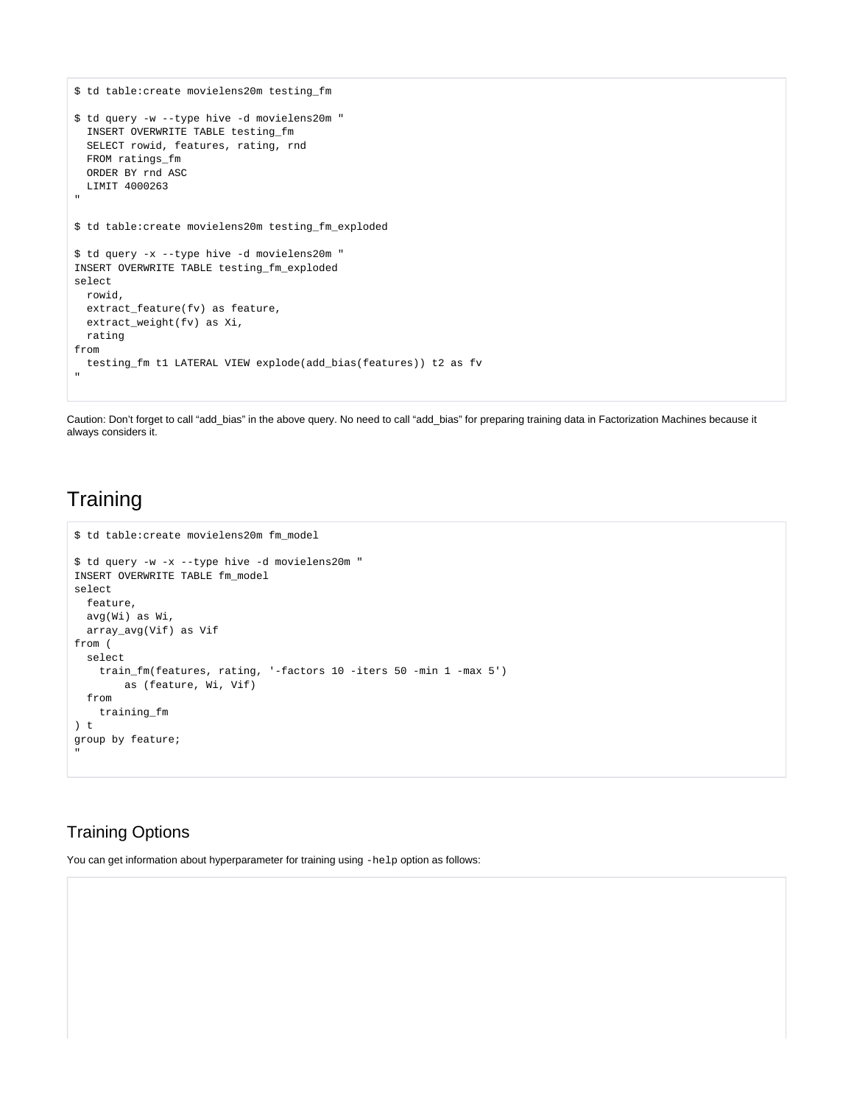```
$ td table:create movielens20m testing_fm
$ td query -w --type hive -d movielens20m "
  INSERT OVERWRITE TABLE testing_fm 
  SELECT rowid, features, rating, rnd
  FROM ratings_fm 
  ORDER BY rnd ASC 
 LIMIT 4000263
"
$ td table:create movielens20m testing_fm_exploded
$ td query -x --type hive -d movielens20m "
INSERT OVERWRITE TABLE testing_fm_exploded 
select 
  rowid,
  extract_feature(fv) as feature,
  extract_weight(fv) as Xi,
  rating
from
 testing_fm t1 LATERAL VIEW explode(add_bias(features)) t2 as fv
"
```
Caution: Don't forget to call "add\_bias" in the above query. No need to call "add\_bias" for preparing training data in Factorization Machines because it always considers it.

### <span id="page-1-0"></span>**Training**

```
$ td table:create movielens20m fm_model
$ td query -w -x --type hive -d movielens20m "
INSERT OVERWRITE TABLE fm_model 
select
  feature,
  avg(Wi) as Wi,
  array_avg(Vif) as Vif
from (
  select 
    train_fm(features, rating, '-factors 10 -iters 50 -min 1 -max 5') 
        as (feature, Wi, Vif)
  from 
     training_fm
) t
group by feature;
"
```
### <span id="page-1-1"></span>Training Options

You can get information about hyperparameter for training using -help option as follows: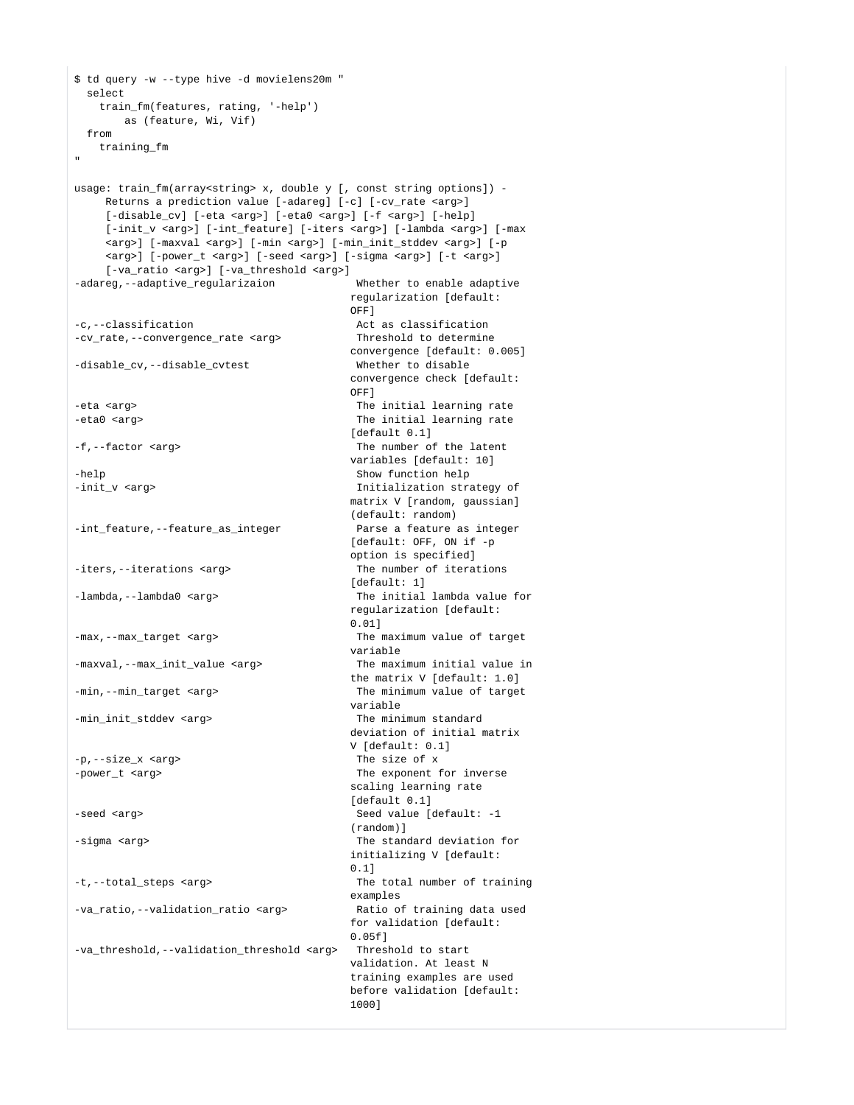```
$ td query -w --type hive -d movielens20m "
  select 
   train_fm(features, rating, '-help') 
      as (feature, Wi, Vif)
  from 
   training_fm
"
usage: train fm(array<string> x, double y [, const string options]) -
    Returns a prediction value [-adareg] [-c] [-cv_rate <arg>]
    [-disable_cv] [-eta <arg>] [-eta0 <arg>] [-f <arg>] [-help]
   [-init y <arg>] [-int feature] [-iters <arg>] [-lambda <arg>] [-max
    <arg>] [-maxval <arg>] [-min <arg>] [-min_init_stddev <arg>] [-p
    <arg>] [-power_t <arg>] [-seed <arg>] [-sigma <arg>] [-t <arg>]
    [-va_ratio <arg>] [-va_threshold <arg>]
-adareg,--adaptive_regularizaion Whether to enable adaptive
                                   regularization [default:
OFF]
-c,--classification and \overline{A} act as classification
-cv_rate,--convergence_rate <arg> Threshold to determine
                                   convergence [default: 0.005]
-disable cv,--disable cvtest Whether to disable
                                   convergence check [default:
OFF]
-eta <arg> The initial learning rate
-eta0 <arg> The initial learning rate
                                   [default 0.1]
-f,--factor <arg> The number of the latent
                                   variables [default: 10]
-help Show function help
-init v <arg> \overline{u} initialization strategy of
                                   matrix V [random, gaussian]
                                   (default: random)
-int_feature,--feature_as_integer Parse a feature as integer
                                   [default: OFF, ON if -p
                                   option is specified]
-iters,--iterations <arg> The number of iterations
                                   [default: 1]
-lambda,--lambda0 <arg> The initial lambda value for
                                   regularization [default:
                                   0.01]
-max,--max_target <arg>
The maximum value of target
                                   variable
-maxval,--max_init_value <arg> The maximum initial value in
                                   the matrix V [default: 1.0]
-min,--min_target <arg>
The minimum value of target
                                   variable
-min init stddev <arg> The minimum standard
                                   deviation of initial matrix
                                   V [default: 0.1]
-p,--size_x <arg> The size of x
-power_t <arg> \blacksquare The exponent for inverse
                                   scaling learning rate
                                   [default 0.1]
-seed <arg> Seed value [default: -1
                                   (random)]
-sigma <arg> The standard deviation for
                                   initializing V [default:
 0.1]
-t,--total_steps <arg> The total number of training
                                   examples
-va ratio,--validation ratio <arg> Ratio of training data used
                                   for validation [default:
                                   0.05f]
-va_threshold,--validation_threshold <arg> Threshold to start
                                   validation. At least N
                                   training examples are used
                                   before validation [default:
 1000]
```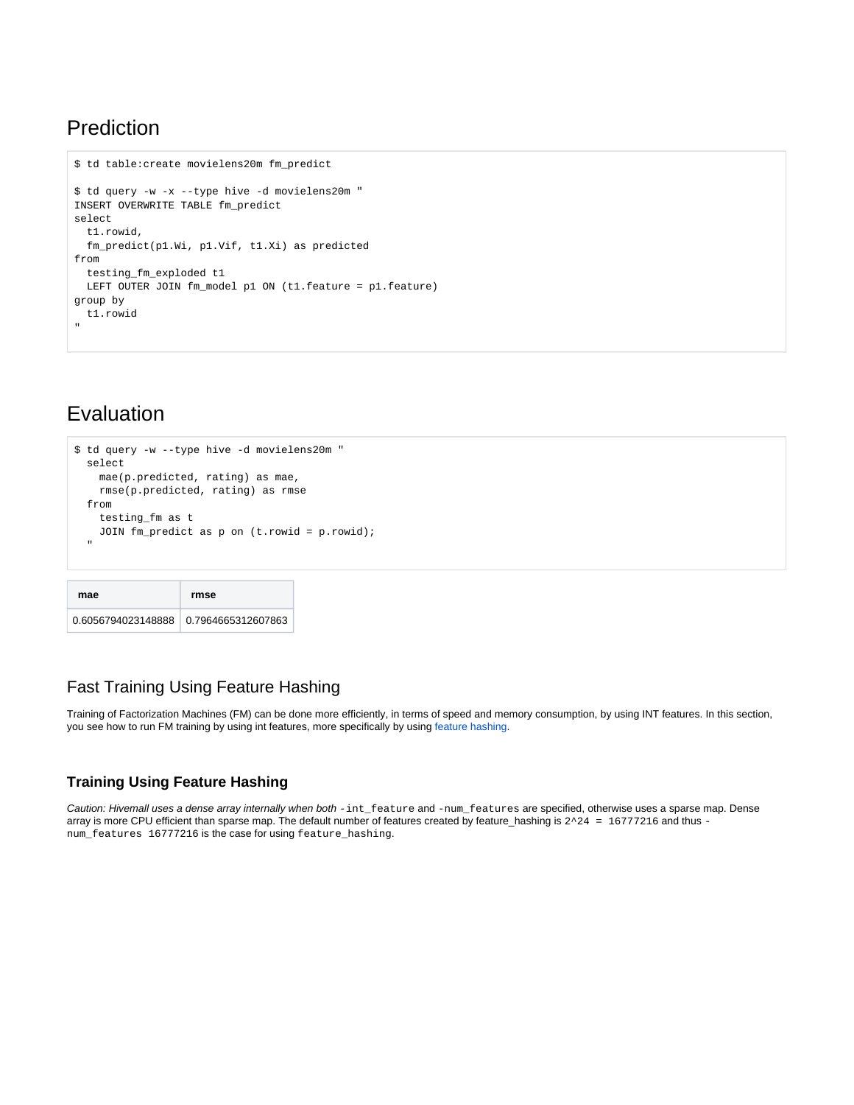### <span id="page-3-0"></span>Prediction

```
$ td table:create movielens20m fm_predict
$ td query -w -x --type hive -d movielens20m "
INSERT OVERWRITE TABLE fm_predict 
select
  t1.rowid,
  fm_predict(p1.Wi, p1.Vif, t1.Xi) as predicted
from 
  testing_fm_exploded t1
  LEFT OUTER JOIN fm_model p1 ON (t1.feature = p1.feature)
group by
  t1.rowid
"
```
## <span id="page-3-1"></span>Evaluation

```
$ td query -w --type hive -d movielens20m "
  select
    mae(p.predicted, rating) as mae,
    rmse(p.predicted, rating) as rmse
  from
     testing_fm as t
    JOIN fm_predict as p on (t.rowid = p.rowid);
 "
```

| mae                                   | rmse |
|---------------------------------------|------|
| 0.6056794023148888 0.7964665312607863 |      |

#### <span id="page-3-2"></span>Fast Training Using Feature Hashing

Training of Factorization Machines (FM) can be done more efficiently, in terms of speed and memory consumption, by using INT features. In this section, you see how to run FM training by using int features, more specifically by using [feature hashing.](https://github.com/myui/hivemall/wiki/Feature-hashing)

#### <span id="page-3-3"></span>**Training Using Feature Hashing**

Caution: Hivemall uses a dense array internally when both -int\_feature and -num\_features are specified, otherwise uses a sparse map. Dense array is more CPU efficient than sparse map. The default number of features created by feature\_hashing is  $2^2$  = 16777216 and thus num\_features 16777216 is the case for using feature\_hashing.